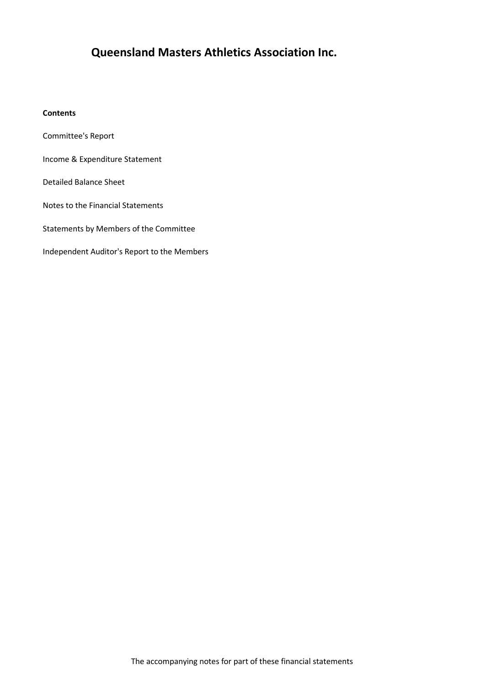# **Queensland Masters Athletics Association Inc.**

#### **Contents**

Committee's Report

- Income & Expenditure Statement
- Detailed Balance Sheet
- Notes to the Financial Statements
- Statements by Members of the Committee
- Independent Auditor's Report to the Members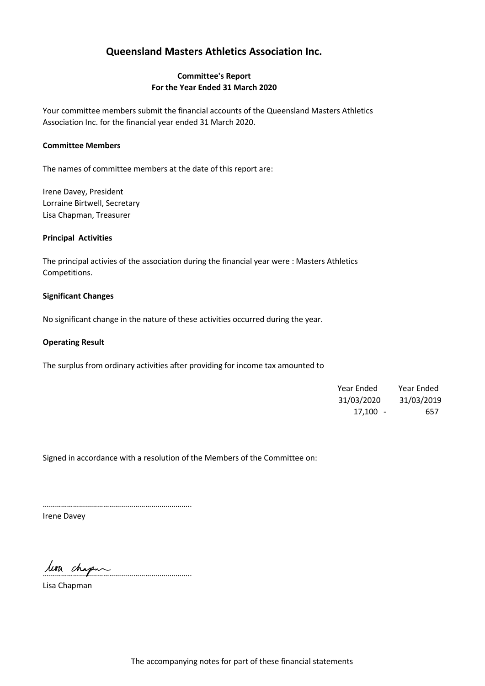# **Queensland Masters Athletics Association Inc.**

#### **Committee's Report For the Year Ended 31 March 2020**

Your committee members submit the financial accounts of the Queensland Masters Athletics Association Inc. for the financial year ended 31 March 2020.

#### **Committee Members**

The names of committee members at the date of this report are:

Irene Davey, President Lorraine Birtwell, Secretary Lisa Chapman, Treasurer

#### **Principal Activities**

The principal activies of the association during the financial year were : Masters Athletics Competitions.

#### **Significant Changes**

No significant change in the nature of these activities occurred during the year.

#### **Operating Result**

The surplus from ordinary activities after providing for income tax amounted to

| Year Ended | Year Ended |
|------------|------------|
| 31/03/2020 | 31/03/2019 |
| $17,100 -$ | 657        |

Signed in accordance with a resolution of the Members of the Committee on:

………………………………………………………………..

Irene Davey

………………………………………………………………..

Lisa Chapman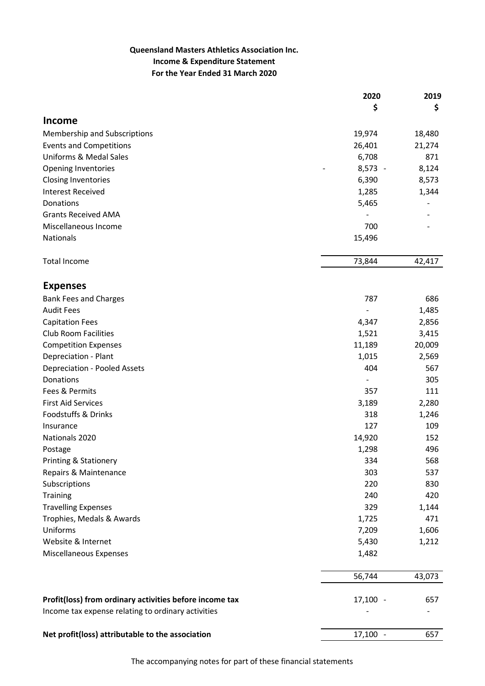## **Queensland Masters Athletics Association Inc. Income & Expenditure Statement For the Year Ended 31 March 2020**

|                                                         | 2020       | 2019   |
|---------------------------------------------------------|------------|--------|
|                                                         | \$         | \$     |
| <b>Income</b>                                           |            |        |
| Membership and Subscriptions                            | 19,974     | 18,480 |
| <b>Events and Competitions</b>                          | 26,401     | 21,274 |
| <b>Uniforms &amp; Medal Sales</b>                       | 6,708      | 871    |
| <b>Opening Inventories</b>                              | $8,573 -$  | 8,124  |
| <b>Closing Inventories</b>                              | 6,390      | 8,573  |
| <b>Interest Received</b>                                | 1,285      | 1,344  |
| Donations                                               | 5,465      |        |
| <b>Grants Received AMA</b>                              |            |        |
| Miscellaneous Income                                    | 700        |        |
| Nationals                                               | 15,496     |        |
| <b>Total Income</b>                                     | 73,844     | 42,417 |
|                                                         |            |        |
| <b>Expenses</b>                                         |            |        |
| <b>Bank Fees and Charges</b>                            | 787        | 686    |
| <b>Audit Fees</b>                                       |            | 1,485  |
| <b>Capitation Fees</b>                                  | 4,347      | 2,856  |
| <b>Club Room Facilities</b>                             | 1,521      | 3,415  |
| <b>Competition Expenses</b>                             | 11,189     | 20,009 |
| Depreciation - Plant                                    | 1,015      | 2,569  |
| <b>Depreciation - Pooled Assets</b>                     | 404        | 567    |
| Donations                                               |            | 305    |
| Fees & Permits                                          | 357        | 111    |
| <b>First Aid Services</b>                               | 3,189      | 2,280  |
| Foodstuffs & Drinks                                     | 318        | 1,246  |
| Insurance                                               | 127        | 109    |
| Nationals 2020                                          | 14,920     | 152    |
| Postage                                                 | 1,298      | 496    |
| Printing & Stationery                                   | 334        | 568    |
| Repairs & Maintenance                                   | 303        | 537    |
| Subscriptions                                           | 220        | 830    |
| <b>Training</b>                                         | 240        | 420    |
| <b>Travelling Expenses</b>                              | 329        | 1,144  |
| Trophies, Medals & Awards                               | 1,725      | 471    |
| Uniforms                                                | 7,209      | 1,606  |
| Website & Internet                                      | 5,430      | 1,212  |
| <b>Miscellaneous Expenses</b>                           | 1,482      |        |
|                                                         | 56,744     | 43,073 |
|                                                         |            |        |
| Profit(loss) from ordinary activities before income tax | $17,100 -$ | 657    |
| Income tax expense relating to ordinary activities      |            |        |
| Net profit(loss) attributable to the association        | $17,100 -$ | 657    |

The accompanying notes for part of these financial statements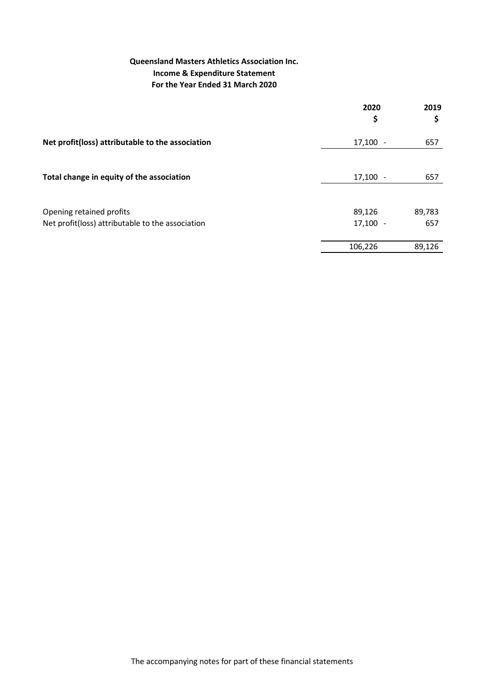## **Queensland Masters Athletics Association Inc. Income & Expenditure Statement For the Year Ended 31 March 2020**

|                                                  | 2020<br>\$ | 2019<br>\$ |
|--------------------------------------------------|------------|------------|
| Net profit(loss) attributable to the association | 17,100     | 657        |
|                                                  |            |            |
| Total change in equity of the association        | 17,100     | 657        |
|                                                  |            |            |
| Opening retained profits                         | 89,126     | 89,783     |
| Net profit(loss) attributable to the association | 17,100     | 657        |
|                                                  | 106,226    | 89,126     |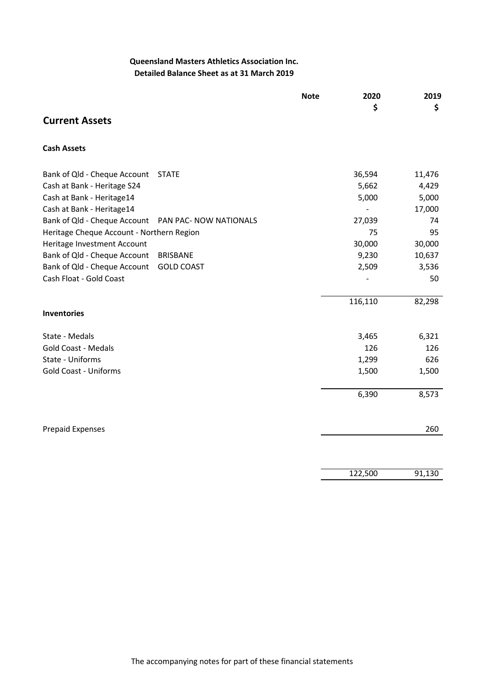## **Queensland Masters Athletics Association Inc. Detailed Balance Sheet as at 31 March 2019**

|                                                        | <b>Note</b> | 2020           | 2019   |
|--------------------------------------------------------|-------------|----------------|--------|
|                                                        |             | \$             | \$     |
| <b>Current Assets</b>                                  |             |                |        |
| <b>Cash Assets</b>                                     |             |                |        |
| Bank of Qld - Cheque Account<br><b>STATE</b>           |             | 36,594         | 11,476 |
| Cash at Bank - Heritage S24                            |             | 5,662          | 4,429  |
| Cash at Bank - Heritage14                              |             | 5,000          | 5,000  |
| Cash at Bank - Heritage14                              |             | $\overline{a}$ | 17,000 |
| Bank of Qld - Cheque Account<br>PAN PAC- NOW NATIONALS |             | 27,039         | 74     |
| Heritage Cheque Account - Northern Region              |             | 75             | 95     |
| Heritage Investment Account                            |             | 30,000         | 30,000 |
| Bank of Qld - Cheque Account<br><b>BRISBANE</b>        |             | 9,230          | 10,637 |
| Bank of Qld - Cheque Account<br><b>GOLD COAST</b>      |             | 2,509          | 3,536  |
| Cash Float - Gold Coast                                |             |                | 50     |
|                                                        |             |                |        |
|                                                        |             | 116,110        | 82,298 |
| <b>Inventories</b>                                     |             |                |        |
| State - Medals                                         |             | 3,465          | 6,321  |
| <b>Gold Coast - Medals</b>                             |             | 126            | 126    |
| State - Uniforms                                       |             | 1,299          | 626    |
| <b>Gold Coast - Uniforms</b>                           |             | 1,500          | 1,500  |
|                                                        |             | 6,390          | 8,573  |
| <b>Prepaid Expenses</b>                                |             |                | 260    |
|                                                        |             |                |        |
|                                                        |             | 122,500        | 91,130 |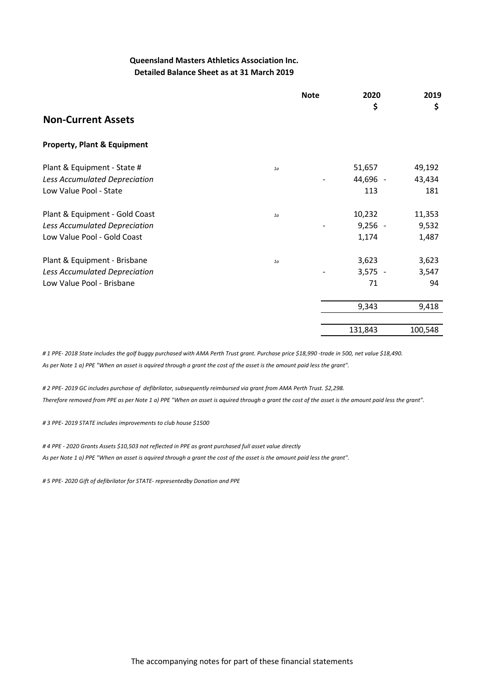#### **Queensland Masters Athletics Association Inc. Detailed Balance Sheet as at 31 March 2019**

|                                        |                | <b>Note</b> | 2020<br>\$ | 2019<br>\$ |
|----------------------------------------|----------------|-------------|------------|------------|
| <b>Non-Current Assets</b>              |                |             |            |            |
| <b>Property, Plant &amp; Equipment</b> |                |             |            |            |
| Plant & Equipment - State #            | 1 <sub>a</sub> |             | 51,657     | 49,192     |
| Less Accumulated Depreciation          |                |             | 44,696 -   | 43,434     |
| Low Value Pool - State                 |                |             | 113        | 181        |
| Plant & Equipment - Gold Coast         | 1 <sub>a</sub> |             | 10,232     | 11,353     |
| Less Accumulated Depreciation          |                |             | $9,256 -$  | 9,532      |
| Low Value Pool - Gold Coast            |                |             | 1,174      | 1,487      |
| Plant & Equipment - Brisbane           | 1 <sub>a</sub> |             | 3,623      | 3,623      |
| Less Accumulated Depreciation          |                |             | $3,575 -$  | 3,547      |
| Low Value Pool - Brisbane              |                |             | 71         | 94         |
|                                        |                |             | 9,343      | 9,418      |
|                                        |                |             |            |            |
|                                        |                |             | 131,843    | 100,548    |

*# 1 PPE- 2018 State includes the golf buggy purchased with AMA Perth Trust grant. Purchase price \$18,990 -trade in 500, net value \$18,490. As per Note 1 a) PPE "When an asset is aquired through a grant the cost of the asset is the amount paid less the grant".*

*# 2 PPE- 2019 GC includes purchase of defibrilator, subsequently reimbursed via grant from AMA Perth Trust. \$2,298. Therefore removed from PPE as per Note 1 a) PPE "When an asset is aquired through a grant the cost of the asset is the amount paid less the grant".*

*# 3 PPE- 2019 STATE includes improvements to club house \$1500*

*# 4 PPE - 2020 Grants Assets \$10,503 not reflected in PPE as grant purchased full asset value directly As per Note 1 a) PPE "When an asset is aquired through a grant the cost of the asset is the amount paid less the grant".*

*# 5 PPE- 2020 Gift of defibrilator for STATE- representedby Donation and PPE*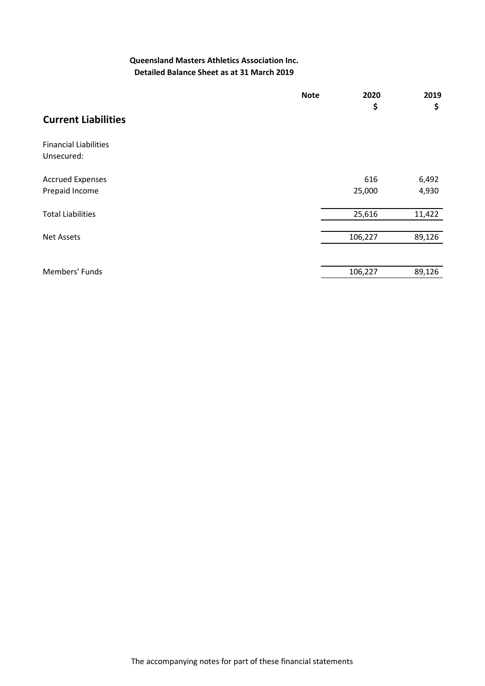#### **Queensland Masters Athletics Association Inc. Detailed Balance Sheet as at 31 March 2019**

|                              | <b>Note</b> | 2020<br>\$ | 2019<br>\$ |
|------------------------------|-------------|------------|------------|
| <b>Current Liabilities</b>   |             |            |            |
| <b>Financial Liabilities</b> |             |            |            |
| Unsecured:                   |             |            |            |
| <b>Accrued Expenses</b>      |             | 616        | 6,492      |
| Prepaid Income               |             | 25,000     | 4,930      |
| <b>Total Liabilities</b>     |             | 25,616     | 11,422     |
| <b>Net Assets</b>            |             | 106,227    | 89,126     |
|                              |             |            |            |
| Members' Funds               |             | 106,227    | 89,126     |
|                              |             |            |            |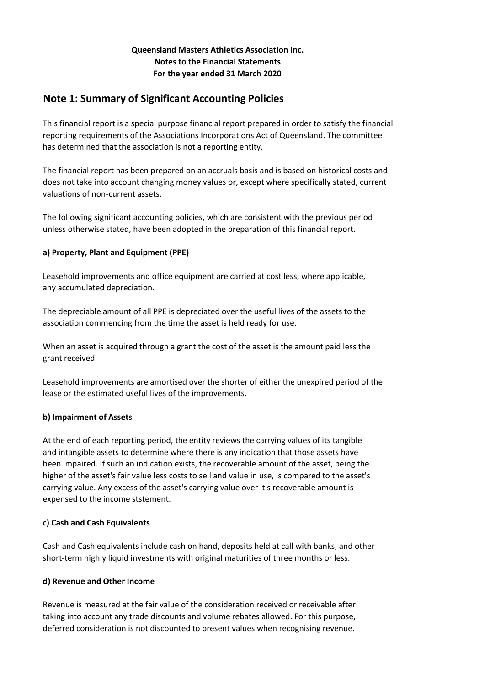#### **Queensland Masters Athletics Association Inc. Notes to the Financial Statements For the year ended 31 March 2020**

# **Note 1: Summary of Significant Accounting Policies**

This financial report is a special purpose financial report prepared in order to satisfy the financial reporting requirements of the Associations Incorporations Act of Queensland. The committee has determined that the association is not a reporting entity.

The financial report has been prepared on an accruals basis and is based on historical costs and does not take into account changing money values or, except where specifically stated, current valuations of non-current assets.

The following significant accounting policies, which are consistent with the previous period unless otherwise stated, have been adopted in the preparation of this financial report.

### **a) Property, Plant and Equipment (PPE)**

Leasehold improvements and office equipment are carried at cost less, where applicable, any accumulated depreciation.

The depreciable amount of all PPE is depreciated over the useful lives of the assets to the association commencing from the time the asset is held ready for use.

When an asset is acquired through a grant the cost of the asset is the amount paid less the grant received.

Leasehold improvements are amortised over the shorter of either the unexpired period of the lease or the estimated useful lives of the improvements.

#### **b) Impairment of Assets**

At the end of each reporting period, the entity reviews the carrying values of its tangible and intangible assets to determine where there is any indication that those assets have been impaired. If such an indication exists, the recoverable amount of the asset, being the higher of the asset's fair value less costs to sell and value in use, is compared to the asset's carrying value. Any excess of the asset's carrying value over it's recoverable amount is expensed to the income ststement.

#### **c) Cash and Cash Equivalents**

Cash and Cash equivalents include cash on hand, deposits held at call with banks, and other short-term highly liquid investments with original maturities of three months or less.

#### **d) Revenue and Other Income**

Revenue is measured at the fair value of the consideration received or receivable after taking into account any trade discounts and volume rebates allowed. For this purpose, deferred consideration is not discounted to present values when recognising revenue.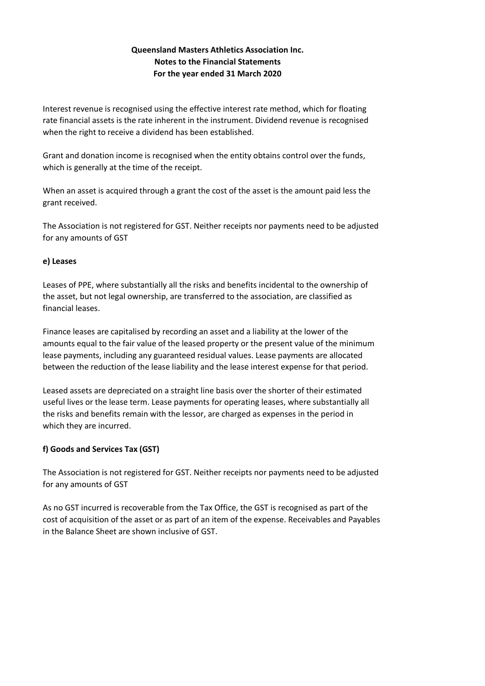### **Queensland Masters Athletics Association Inc. Notes to the Financial Statements For the year ended 31 March 2020**

Interest revenue is recognised using the effective interest rate method, which for floating rate financial assets is the rate inherent in the instrument. Dividend revenue is recognised when the right to receive a dividend has been established.

Grant and donation income is recognised when the entity obtains control over the funds, which is generally at the time of the receipt.

When an asset is acquired through a grant the cost of the asset is the amount paid less the grant received.

The Association is not registered for GST. Neither receipts nor payments need to be adjusted for any amounts of GST

#### **e) Leases**

Leases of PPE, where substantially all the risks and benefits incidental to the ownership of the asset, but not legal ownership, are transferred to the association, are classified as financial leases.

Finance leases are capitalised by recording an asset and a liability at the lower of the amounts equal to the fair value of the leased property or the present value of the minimum lease payments, including any guaranteed residual values. Lease payments are allocated between the reduction of the lease liability and the lease interest expense for that period.

Leased assets are depreciated on a straight line basis over the shorter of their estimated useful lives or the lease term. Lease payments for operating leases, where substantially all the risks and benefits remain with the lessor, are charged as expenses in the period in which they are incurred.

#### **f) Goods and Services Tax (GST)**

The Association is not registered for GST. Neither receipts nor payments need to be adjusted for any amounts of GST

As no GST incurred is recoverable from the Tax Office, the GST is recognised as part of the cost of acquisition of the asset or as part of an item of the expense. Receivables and Payables in the Balance Sheet are shown inclusive of GST.